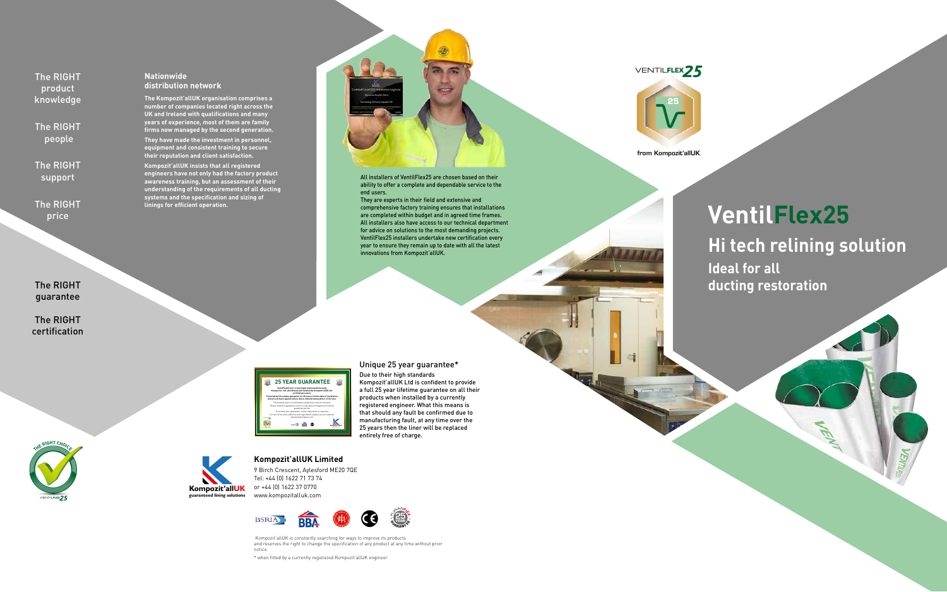from Kompozit'allUK



# **VentilFlex25 Hi tech relining solution Ideal for all ducting restoration**



# **Kompozit'allUK Limited**

9 Birch Crescent, Aylesford ME20 7QE Tel: +44 (0) 1622 71 73 74 or +44 (0) 1622 37 0770 www.kompozitalluk.com

 Kompozit'allUK is constantly searching for ways to improve its products and reserves the right to change the specification of any product at any time without prior notice.

\* when fitted by a currently registered Kompozit'allUK engineer

## **Nationwide distribution network**

**The Kompozit'allUK organisation comprises a number of companies located right across the UK and Ireland with qualifications and many years of experience, most of them are family firms now managed by the second generation.** 

**They have made the investment in personnel, equipment and consistent training to secure their reputation and client satisfaction.**

**Kompozit'allUK insists that all registered engineers have not only had the factory product awareness training, but an assessment of their understanding of the requirements of all ducting systems and the specification and sizing of linings for efficient operation.**



# Unique 25 year guarantee\*

Due to their high standards Kompozit'allUK Ltd is confident to provide a full 25 year lifetime guarantee on all their products when installed by a currently registered engineer. What this means is that should any fault be confirmed due to manufacturing fault, at any time over the 25 years then the liner will be replaced entirely free of charge.



The RIGHT product knowledge

The RIGHT people

The RIGHT support

The RIGHT price

The RIGHT guarantee

The RIGHT certification

All installers of VentilFlex25 are chosen based on their ability to offer a complete and dependable service to the end users.

They are experts in their field and extensive and comprehensive factory training ensures that installations are completed within budget and in agreed time frames. All installers also have access to our technical department for advice on solutions to the most demanding projects. VentilFlex25 installers undertake new certification every year to ensure they remain up to date with all the latest innovations from Kompozit'allUK.